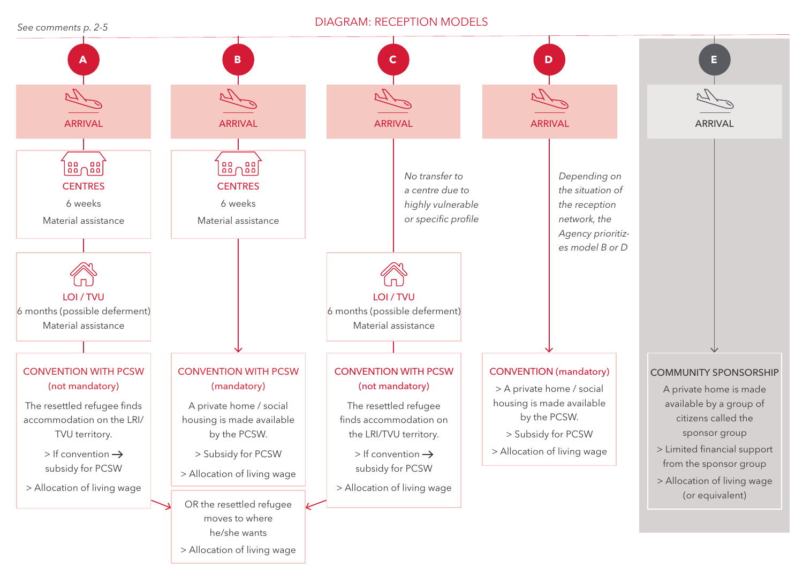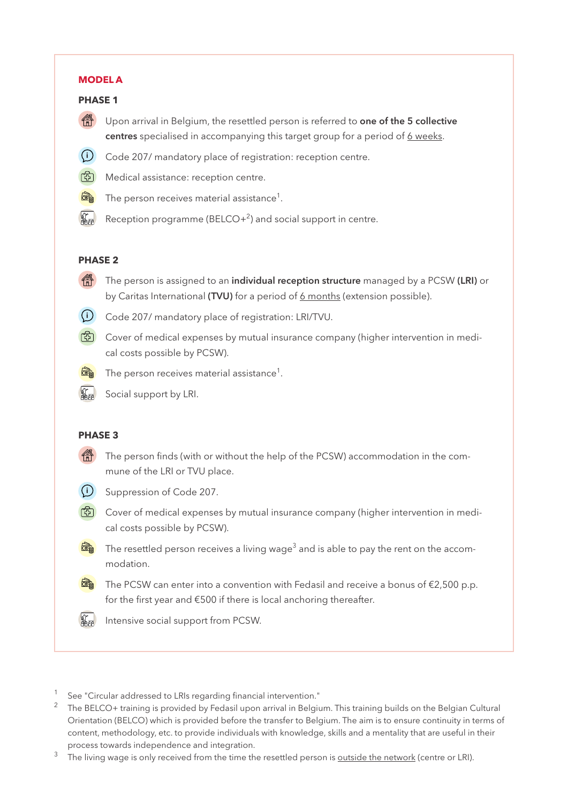#### **MODEL A**

#### **PHASE 1**

- $\left(\begin{matrix} \frac{1}{\sqrt{1}}\\ \frac{1}{\sqrt{1}}\\ \frac{1}{\sqrt{1}}\\ \frac{1}{\sqrt{1}}\\ \frac{1}{\sqrt{1}}\\ \frac{1}{\sqrt{1}}\\ \frac{1}{\sqrt{1}}\\ \frac{1}{\sqrt{1}}\\ \frac{1}{\sqrt{1}}\\ \frac{1}{\sqrt{1}}\\ \frac{1}{\sqrt{1}}\\ \frac{1}{\sqrt{1}}\\ \frac{1}{\sqrt{1}}\\ \frac{1}{\sqrt{1}}\\ \frac{1}{\sqrt{1}}\\ \frac{1}{\sqrt{1}}\\ \frac{1}{\sqrt{1}}\\ \frac{1}{\sqrt{1}}\\ \frac{1}{\sqrt{1}}\\ \frac{1$ centres specialised in accompanying this target group for a period of 6 weeks.
- **i** Code 207/ mandatory place of registration: reception centre.
- **6** Medical assistance: reception centre.
- œ The person receives material assistance $^{\rm 1}.$
- $\frac{4}{45}$ Reception programme (BELCO $+^2$ ) and social support in centre.

#### **PHASE 2**

- The person is assigned to an individual reception structure managed by a PCSW (LRI) or by Caritas International (TVU) for a period of 6 months (extension possible).
- 
- **i** Code 207/ mandatory place of registration: LRI/TVU.
- **6** Cover of medical expenses by mutual insurance company (higher intervention in medical costs possible by PCSW).



The person receives material assistance $^{\rm 1}.$ 



Social support by LRI.

# **PHASE 3**

The person finds (with or without the help of the PCSW) accommodation in the commune of the LRI or TVU place.



**i** Suppression of Code 207.

- $\boxed{6}$  Cover of medical expenses by mutual insurance company (higher intervention in medical costs possible by PCSW).
	- The resettled person receives a living wage $^3$  and is able to pay the rent on the accommodation.
	- The PCSW can enter into a convention with Fedasil and receive a bonus of €2,500 p.p. for the first year and €500 if there is local anchoring thereafter.
- $\int_{\frac{\pi}{4}}^{\frac{\pi}{4}}$ Intensive social support from PCSW.
- 1 See "Circular addressed to LRIs regarding financial intervention."
- <sup>2</sup> The BELCO+ training is provided by Fedasil upon arrival in Belgium. This training builds on the Belgian Cultural Orientation (BELCO) which is provided before the transfer to Belgium. The aim is to ensure continuity in terms of content, methodology, etc. to provide individuals with knowledge, skills and a mentality that are useful in their process towards independence and integration.
- The living wage is only received from the time the resettled person is outside the network (centre or LRI).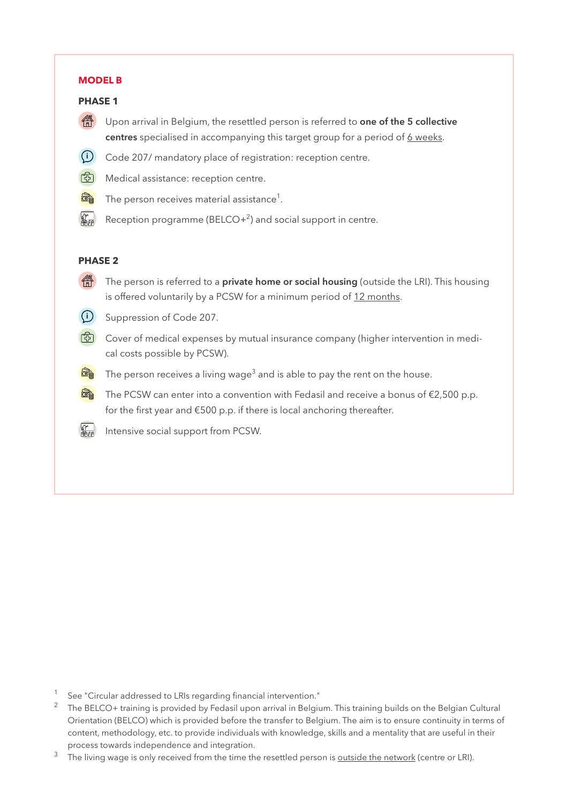# **MODEL B**

# **PHASE 1**

- **1999** Upon arrival in Belgium, the resettled person is referred to **one of the 5 collective** centres specialised in accompanying this target group for a period of 6 weeks.
- **i** Code 207/ mandatory place of registration: reception centre.
- **6** Medical assistance: reception centre.
- **ROD** The person receives material assistance $^{\rm 1}.$
- $\frac{4}{400}$ Reception programme (BELCO+<sup>2</sup>) and social support in centre.

## **PHASE 2**

- The person is referred to a **private home or social housing** (outside the LRI). This housing is offered voluntarily by a PCSW for a minimum period of 12 months.
- **i** Suppression of Code 207.
- **©** Cover of medical expenses by mutual insurance company (higher intervention in medical costs possible by PCSW).
- The person receives a living wage $^3$  and is able to pay the rent on the house.
- **<sub>o</sub>** The PCSW can enter into a convention with Fedasil and receive a bonus of €2,500 p.p. for the first year and €500 p.p. if there is local anchoring thereafter.
- Intensive social support from PCSW.  $\frac{4}{2}$

- $1$  See "Circular addressed to LRIs regarding financial intervention."
- <sup>2</sup> The BELCO+ training is provided by Fedasil upon arrival in Belgium. This training builds on the Belgian Cultural Orientation (BELCO) which is provided before the transfer to Belgium. The aim is to ensure continuity in terms of content, methodology, etc. to provide individuals with knowledge, skills and a mentality that are useful in their process towards independence and integration.
- The living wage is only received from the time the resettled person is outside the network (centre or LRI).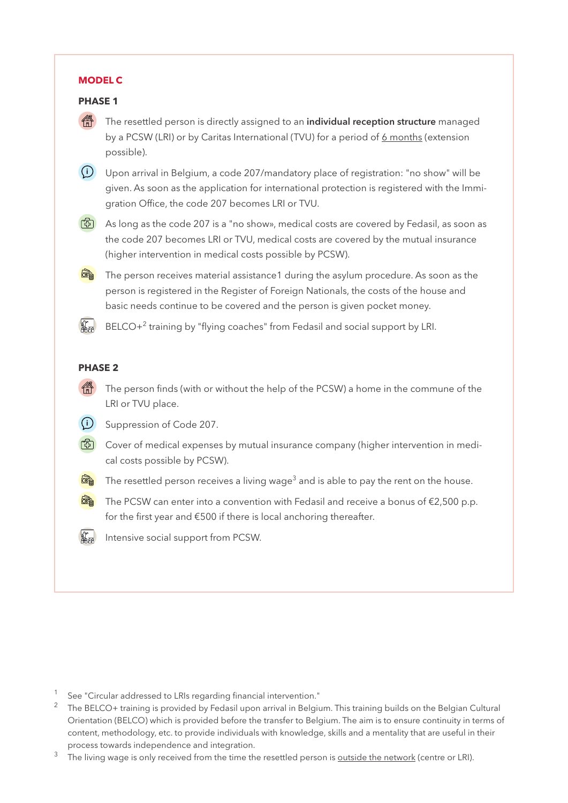#### **MODEL C**

# **PHASE 1**

The resettled person is directly assigned to an **individual reception structure** managed by a PCSW (LRI) or by Caritas International (TVU) for a period of 6 months (extension possible).

**i** Upon arrival in Belgium, a code 207/mandatory place of registration: "no show" will be given. As soon as the application for international protection is registered with the Immigration Office, the code 207 becomes LRI or TVU.

 $\boxed{3}$  As long as the code 207 is a "no show», medical costs are covered by Fedasil, as soon as the code 207 becomes LRI or TVU, medical costs are covered by the mutual insurance (higher intervention in medical costs possible by PCSW).

 $\frac{\overline{\text{cm}}}{\text{cm}}$  The person receives material assistance1 during the asylum procedure. As soon as the person is registered in the Register of Foreign Nationals, the costs of the house and basic needs continue to be covered and the person is given pocket money.

 $\frac{4}{2}$  $BECO+<sup>2</sup>$  training by "flying coaches" from Fedasil and social support by LRI.

### **PHASE 2**

The person finds (with or without the help of the PCSW) a home in the commune of the LRI or TVU place.

**i** Suppression of Code 207.

- $\boxed{3}$  Cover of medical expenses by mutual insurance company (higher intervention in medical costs possible by PCSW).
	- The resettled person receives a living wage $^3$  and is able to pay the rent on the house.

 $\mathbb{R}$  The PCSW can enter into a convention with Fedasil and receive a bonus of  $\epsilon$ 2,500 p.p. for the first year and €500 if there is local anchoring thereafter.

Intensive social support from PCSW.

 $1$  See "Circular addressed to LRIs regarding financial intervention."

<sup>&</sup>lt;sup>2</sup> The BELCO+ training is provided by Fedasil upon arrival in Belgium. This training builds on the Belgian Cultural Orientation (BELCO) which is provided before the transfer to Belgium. The aim is to ensure continuity in terms of content, methodology, etc. to provide individuals with knowledge, skills and a mentality that are useful in their process towards independence and integration.

The living wage is only received from the time the resettled person is outside the network (centre or LRI).